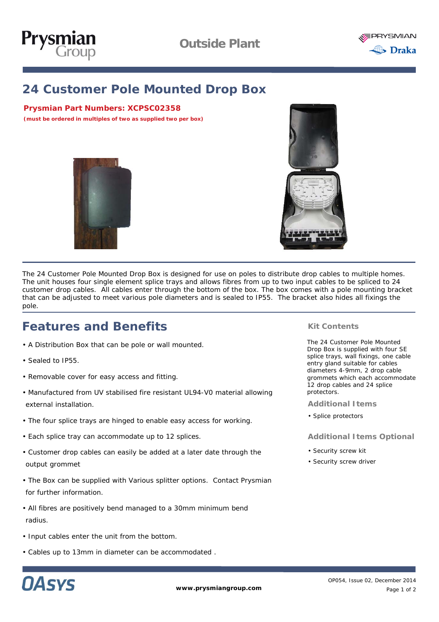



# **24 Customer Pole Mounted Drop Box**

### **Prysmian Part Numbers:** *XCPSC02358*

*(must be ordered in multiples of two as supplied two per box)*





The 24 Customer Pole Mounted Drop Box is designed for use on poles to distribute drop cables to multiple homes. The unit houses four single element splice trays and allows fibres from up to two input cables to be spliced to 24 customer drop cables. All cables enter through the bottom of the box. The box comes with a pole mounting bracket that can be adjusted to meet various pole diameters and is sealed to IP55. The bracket also hides all fixings the pole.

# **Features and Benefits**

- A Distribution Box that can be pole or wall mounted.
- Sealed to IP55.
- Removable cover for easy access and fitting.
- Manufactured from UV stabilised fire resistant UL94-V0 material allowing external installation.
- The four splice trays are hinged to enable easy access for working.
- Each splice tray can accommodate up to 12 splices.
- Customer drop cables can easily be added at a later date through the output grommet
- The Box can be supplied with Various splitter options. Contact Prysmian for further information.
- All fibres are positively bend managed to a 30mm minimum bend radius.
- Input cables enter the unit from the bottom.
- Cables up to 13mm in diameter can be accommodated .

#### **Kit Contents**

The 24 Customer Pole Mounted Drop Box is supplied with four SE splice trays, wall fixings, one cable entry gland suitable for cables diameters 4-9mm, 2 drop cable grommets which each accommodate 12 drop cables and 24 splice protectors.

**Additional Items**

• Splice protectors

#### **Additional Items Optional**

- Security screw kit
- Security screw driver